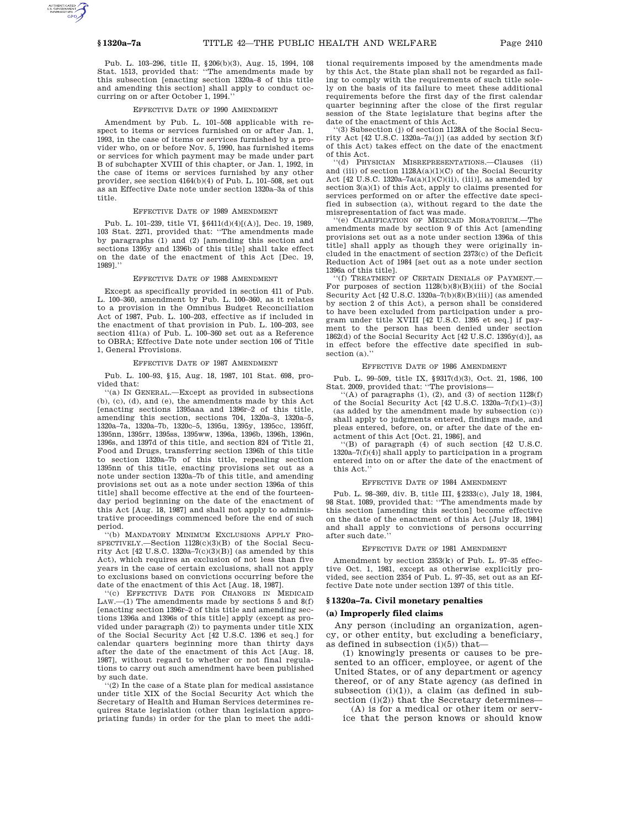Pub. L. 103–296, title II, §206(b)(3), Aug. 15, 1994, 108 Stat. 1513, provided that: ''The amendments made by this subsection [enacting section 1320a–8 of this title and amending this section] shall apply to conduct occurring on or after October 1, 1994.''

## EFFECTIVE DATE OF 1990 AMENDMENT

Amendment by Pub. L. 101–508 applicable with respect to items or services furnished on or after Jan. 1, 1993, in the case of items or services furnished by a provider who, on or before Nov. 5, 1990, has furnished items or services for which payment may be made under part B of subchapter XVIII of this chapter, or Jan. 1, 1992, in the case of items or services furnished by any other provider, see section 4164(b)(4) of Pub. L. 101–508, set out as an Effective Date note under section 1320a–3a of this title.

#### EFFECTIVE DATE OF 1989 AMENDMENT

Pub. L. 101–239, title VI, §6411(d)(4)[(A)], Dec. 19, 1989, 103 Stat. 2271, provided that: ''The amendments made by paragraphs (1) and (2) [amending this section and sections 1395y and 1396b of this title] shall take effect on the date of the enactment of this Act [Dec. 19, 1989].''

#### EFFECTIVE DATE OF 1988 AMENDMENT

Except as specifically provided in section 411 of Pub. L. 100–360, amendment by Pub. L. 100–360, as it relates to a provision in the Omnibus Budget Reconciliation Act of 1987, Pub. L. 100–203, effective as if included in the enactment of that provision in Pub. L. 100–203, see section 411(a) of Pub. L. 100–360 set out as a Reference to OBRA; Effective Date note under section 106 of Title 1, General Provisions.

## EFFECTIVE DATE OF 1987 AMENDMENT

Pub. L. 100–93, §15, Aug. 18, 1987, 101 Stat. 698, provided that:

''(a) IN GENERAL.—Except as provided in subsections (b), (c), (d), and (e), the amendments made by this Act [enacting sections 1395aaa and 1396r–2 of this title, amending this section, sections 704, 1320a–3, 1320a–5, 1320a–7a, 1320a–7b, 1320c–5, 1395u, 1395y, 1395cc, 1395ff, 1395nn, 1395rr, 1395ss, 1395ww, 1396a, 1396b, 1396h, 1396n, 1396s, and 1397d of this title, and section 824 of Title 21, Food and Drugs, transferring section 1396h of this title to section 1320a–7b of this title, repealing section 1395nn of this title, enacting provisions set out as a note under section 1320a–7b of this title, and amending provisions set out as a note under section 1396a of this title] shall become effective at the end of the fourteenday period beginning on the date of the enactment of this Act [Aug. 18, 1987] and shall not apply to administrative proceedings commenced before the end of such period.

''(b) MANDATORY MINIMUM EXCLUSIONS APPLY PRO-SPECTIVELY.—Section 1128(c)(3)(B) of the Social Security Act [42 U.S.C. 1320a-7(c)(3)(B)] (as amended by this Act), which requires an exclusion of not less than five years in the case of certain exclusions, shall not apply to exclusions based on convictions occurring before the date of the enactment of this Act [Aug. 18, 1987].

''(c) EFFECTIVE DATE FOR CHANGES IN MEDICAID LAW.— $(1)$  The amendments made by sections 5 and 8(f) [enacting section 1396r–2 of this title and amending sections 1396a and 1396s of this title] apply (except as provided under paragraph (2)) to payments under title XIX of the Social Security Act [42 U.S.C. 1396 et seq.] for calendar quarters beginning more than thirty days after the date of the enactment of this Act [Aug. 18, 1987], without regard to whether or not final regulations to carry out such amendment have been published by such date.

''(2) In the case of a State plan for medical assistance under title XIX of the Social Security Act which the Secretary of Health and Human Services determines requires State legislation (other than legislation appropriating funds) in order for the plan to meet the additional requirements imposed by the amendments made by this Act, the State plan shall not be regarded as failing to comply with the requirements of such title solely on the basis of its failure to meet these additional requirements before the first day of the first calendar quarter beginning after the close of the first regular session of the State legislature that begins after the date of the enactment of this Act.

''(3) Subsection (j) of section 1128A of the Social Security Act  $[42 \text{ U.S.C. } 1320a-7a(j)]$  (as added by section 3(f) of this Act) takes effect on the date of the enactment of this Act.

''(d) PHYSICIAN MISREPRESENTATIONS.—Clauses (ii) and (iii) of section  $1128A(a)(1)(C)$  of the Social Security Act [42 U.S.C. 1320a-7a(a)(1)(C)(ii), (iii)], as amended by section 3(a)(1) of this Act, apply to claims presented for services performed on or after the effective date specified in subsection (a), without regard to the date the misrepresentation of fact was made.

''(e) CLARIFICATION OF MEDICAID MORATORIUM.—The amendments made by section 9 of this Act [amending provisions set out as a note under section 1396a of this title] shall apply as though they were originally included in the enactment of section 2373(c) of the Deficit Reduction Act of 1984 [set out as a note under section 1396a of this title].

''(f) TREATMENT OF CERTAIN DENIALS OF PAYMENT.— For purposes of section 1128(b)(8)(B)(iii) of the Social Security Act [42 U.S.C. 1320a–7(b)(8)(B)(iii)] (as amended by section 2 of this Act), a person shall be considered to have been excluded from participation under a program under title XVIII [42 U.S.C. 1395 et seq.] if payment to the person has been denied under section 1862(d) of the Social Security Act [42 U.S.C. 1395y(d)], as in effect before the effective date specified in subsection (a)."

## EFFECTIVE DATE OF 1986 AMENDMENT

Pub. L. 99–509, title IX, §9317(d)(3), Oct. 21, 1986, 100

Stat. 2009, provided that: "The provisions—<br>
"(A) of paragraphs (1), (2), and (3) of section 1128(f) of the Social Security Act  $[42 \text{ U.S.C. } 1320\text{a}-7(f)(1)-(3)]$ (as added by the amendment made by subsection (c)) shall apply to judgments entered, findings made, and pleas entered, before, on, or after the date of the enactment of this Act [Oct. 21, 1986], and

''(B) of paragraph (4) of such section [42 U.S.C. 1320a–7(f)(4)] shall apply to participation in a program entered into on or after the date of the enactment of this Act.''

## EFFECTIVE DATE OF 1984 AMENDMENT

Pub. L. 98–369, div. B, title III, §2333(c), July 18, 1984, 98 Stat. 1089, provided that: ''The amendments made by this section [amending this section] become effective on the date of the enactment of this Act [July 18, 1984] and shall apply to convictions of persons occurring after such date.''

#### EFFECTIVE DATE OF 1981 AMENDMENT

Amendment by section 2353(k) of Pub. L. 97–35 effective Oct. 1, 1981, except as otherwise explicitly provided, see section 2354 of Pub. L. 97–35, set out as an Effective Date note under section 1397 of this title.

#### **§ 1320a–7a. Civil monetary penalties**

# **(a) Improperly filed claims**

Any person (including an organization, agency, or other entity, but excluding a beneficiary, as defined in subsection  $(i)(5)$  that-

(1) knowingly presents or causes to be presented to an officer, employee, or agent of the United States, or of any department or agency thereof, or of any State agency (as defined in subsection (i)(1)), a claim (as defined in subsection  $(i)(2)$ ) that the Secretary determines-

(A) is for a medical or other item or service that the person knows or should know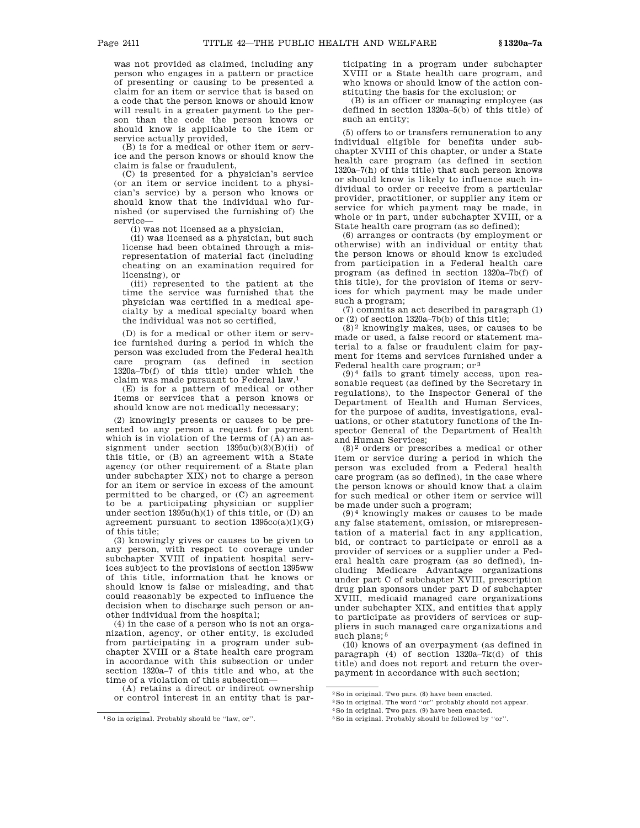was not provided as claimed, including any person who engages in a pattern or practice of presenting or causing to be presented a claim for an item or service that is based on a code that the person knows or should know will result in a greater payment to the person than the code the person knows or should know is applicable to the item or service actually provided,

(B) is for a medical or other item or service and the person knows or should know the claim is false or fraudulent,

(C) is presented for a physician's service (or an item or service incident to a physician's service) by a person who knows or should know that the individual who furnished (or supervised the furnishing of) the service—

(i) was not licensed as a physician,

(ii) was licensed as a physician, but such license had been obtained through a misrepresentation of material fact (including cheating on an examination required for licensing), or

(iii) represented to the patient at the time the service was furnished that the physician was certified in a medical specialty by a medical specialty board when the individual was not so certified,

(D) is for a medical or other item or service furnished during a period in which the person was excluded from the Federal health care program (as defined in section 1320a–7b(f) of this title) under which the claim was made pursuant to Federal law.1

(E) is for a pattern of medical or other items or services that a person knows or should know are not medically necessary;

(2) knowingly presents or causes to be presented to any person a request for payment which is in violation of the terms of (A) an assignment under section 1395u(b)(3)(B)(ii) of this title, or (B) an agreement with a State agency (or other requirement of a State plan under subchapter XIX) not to charge a person for an item or service in excess of the amount permitted to be charged, or (C) an agreement to be a participating physician or supplier under section  $1395u(h)(1)$  of this title, or (D) an agreement pursuant to section  $1395cc(a)(1)(G)$ of this title;

(3) knowingly gives or causes to be given to any person, with respect to coverage under subchapter XVIII of inpatient hospital services subject to the provisions of section 1395ww of this title, information that he knows or should know is false or misleading, and that could reasonably be expected to influence the decision when to discharge such person or another individual from the hospital;

(4) in the case of a person who is not an organization, agency, or other entity, is excluded from participating in a program under subchapter XVIII or a State health care program in accordance with this subsection or under section 1320a–7 of this title and who, at the time of a violation of this subsection—

(A) retains a direct or indirect ownership or control interest in an entity that is participating in a program under subchapter XVIII or a State health care program, and who knows or should know of the action constituting the basis for the exclusion; or

(B) is an officer or managing employee (as defined in section 1320a–5(b) of this title) of such an entity;

(5) offers to or transfers remuneration to any individual eligible for benefits under subchapter XVIII of this chapter, or under a State health care program (as defined in section 1320a–7(h) of this title) that such person knows or should know is likely to influence such individual to order or receive from a particular provider, practitioner, or supplier any item or service for which payment may be made, in whole or in part, under subchapter XVIII, or a State health care program (as so defined);

(6) arranges or contracts (by employment or otherwise) with an individual or entity that the person knows or should know is excluded from participation in a Federal health care program (as defined in section 1320a–7b(f) of this title), for the provision of items or services for which payment may be made under such a program;

(7) commits an act described in paragraph (1) or (2) of section 1320a–7b(b) of this title;

 $(8)^2$  knowingly makes, uses, or causes to be made or used, a false record or statement material to a false or fraudulent claim for payment for items and services furnished under a Federal health care program; or 3

 $(9)^4$  fails to grant timely access, upon reasonable request (as defined by the Secretary in regulations), to the Inspector General of the Department of Health and Human Services, for the purpose of audits, investigations, evaluations, or other statutory functions of the Inspector General of the Department of Health and Human Services;

 $(8)^2$  orders or prescribes a medical or other item or service during a period in which the person was excluded from a Federal health care program (as so defined), in the case where the person knows or should know that a claim for such medical or other item or service will be made under such a program;

 $(9)^4$  knowingly makes or causes to be made any false statement, omission, or misrepresentation of a material fact in any application, bid, or contract to participate or enroll as a provider of services or a supplier under a Federal health care program (as so defined), including Medicare Advantage organizations under part C of subchapter XVIII, prescription drug plan sponsors under part D of subchapter XVIII, medicaid managed care organizations under subchapter XIX, and entities that apply to participate as providers of services or suppliers in such managed care organizations and such plans;<sup>5</sup>

(10) knows of an overpayment (as defined in paragraph (4) of section 1320a–7k(d) of this title) and does not report and return the overpayment in accordance with such section;

<sup>1</sup>So in original. Probably should be ''law, or''.

<sup>2</sup>So in original. Two pars. (8) have been enacted.

<sup>3</sup>So in original. The word ''or'' probably should not appear.

<sup>4</sup>So in original. Two pars. (9) have been enacted.

<sup>5</sup>So in original. Probably should be followed by ''or''.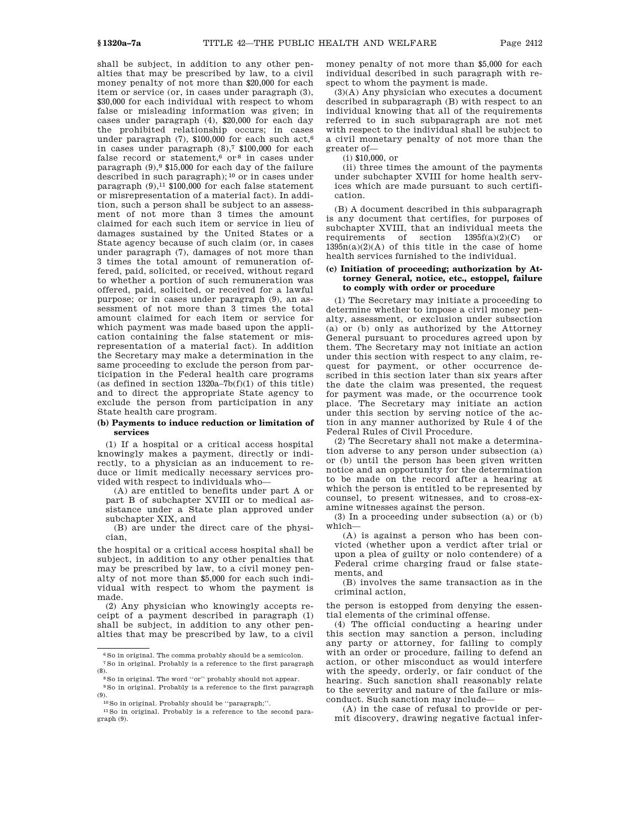shall be subject, in addition to any other penalties that may be prescribed by law, to a civil money penalty of not more than \$20,000 for each item or service (or, in cases under paragraph (3), \$30,000 for each individual with respect to whom false or misleading information was given; in cases under paragraph (4), \$20,000 for each day the prohibited relationship occurs; in cases under paragraph  $(7)$ , \$100,000 for each such act,<sup>6</sup> in cases under paragraph  $(8)$ ,<sup>7</sup> \$100,000 for each false record or statement,<sup>6</sup> or<sup>8</sup> in cases under paragraph  $(9)$ ,  $$15,000$  for each day of the failure described in such paragraph); 10 or in cases under paragraph  $(9)$ ,<sup>11</sup> \$100,000 for each false statement or misrepresentation of a material fact). In addition, such a person shall be subject to an assessment of not more than 3 times the amount claimed for each such item or service in lieu of damages sustained by the United States or a State agency because of such claim (or, in cases under paragraph (7), damages of not more than 3 times the total amount of remuneration offered, paid, solicited, or received, without regard to whether a portion of such remuneration was offered, paid, solicited, or received for a lawful purpose; or in cases under paragraph (9), an assessment of not more than 3 times the total amount claimed for each item or service for which payment was made based upon the application containing the false statement or misrepresentation of a material fact). In addition the Secretary may make a determination in the same proceeding to exclude the person from participation in the Federal health care programs (as defined in section  $1320a-7b(f)(1)$  of this title) and to direct the appropriate State agency to exclude the person from participation in any State health care program.

## **(b) Payments to induce reduction or limitation of services**

(1) If a hospital or a critical access hospital knowingly makes a payment, directly or indirectly, to a physician as an inducement to reduce or limit medically necessary services provided with respect to individuals who—

(A) are entitled to benefits under part A or part B of subchapter XVIII or to medical assistance under a State plan approved under subchapter XIX, and

(B) are under the direct care of the physician,

the hospital or a critical access hospital shall be subject, in addition to any other penalties that may be prescribed by law, to a civil money penalty of not more than \$5,000 for each such individual with respect to whom the payment is made.

(2) Any physician who knowingly accepts receipt of a payment described in paragraph (1) shall be subject, in addition to any other penalties that may be prescribed by law, to a civil money penalty of not more than \$5,000 for each individual described in such paragraph with respect to whom the payment is made.

(3)(A) Any physician who executes a document described in subparagraph (B) with respect to an individual knowing that all of the requirements referred to in such subparagraph are not met with respect to the individual shall be subject to a civil monetary penalty of not more than the greater of—

(i) \$10,000, or

(ii) three times the amount of the payments under subchapter XVIII for home health services which are made pursuant to such certification.

(B) A document described in this subparagraph is any document that certifies, for purposes of subchapter XVIII, that an individual meets the requirements of section  $1395f(a)(2)(C)$  or  $1395n(a)(2)(A)$  of this title in the case of home health services furnished to the individual.

# **(c) Initiation of proceeding; authorization by Attorney General, notice, etc., estoppel, failure to comply with order or procedure**

(1) The Secretary may initiate a proceeding to determine whether to impose a civil money penalty, assessment, or exclusion under subsection (a) or (b) only as authorized by the Attorney General pursuant to procedures agreed upon by them. The Secretary may not initiate an action under this section with respect to any claim, request for payment, or other occurrence described in this section later than six years after the date the claim was presented, the request for payment was made, or the occurrence took place. The Secretary may initiate an action under this section by serving notice of the action in any manner authorized by Rule 4 of the Federal Rules of Civil Procedure.

(2) The Secretary shall not make a determination adverse to any person under subsection (a) or (b) until the person has been given written notice and an opportunity for the determination to be made on the record after a hearing at which the person is entitled to be represented by counsel, to present witnesses, and to cross-examine witnesses against the person.

(3) In a proceeding under subsection (a) or (b) which—

(A) is against a person who has been convicted (whether upon a verdict after trial or upon a plea of guilty or nolo contendere) of a Federal crime charging fraud or false statements, and

(B) involves the same transaction as in the criminal action,

the person is estopped from denying the essential elements of the criminal offense.

(4) The official conducting a hearing under this section may sanction a person, including any party or attorney, for failing to comply with an order or procedure, failing to defend an action, or other misconduct as would interfere with the speedy, orderly, or fair conduct of the hearing. Such sanction shall reasonably relate to the severity and nature of the failure or misconduct. Such sanction may include—

(A) in the case of refusal to provide or permit discovery, drawing negative factual infer-

 $^6\mathrm{\,So}$  in original. The comma probably should be a semicolon. 7So in original. Probably is a reference to the first paragraph (8).

<sup>8</sup>So in original. The word ''or'' probably should not appear.

 $^9\mathrm{\,So}$  in original. Probably is a reference to the first paragraph (9).

<sup>10</sup>So in original. Probably should be ''paragraph;''.

<sup>11</sup>So in original. Probably is a reference to the second paragraph (9).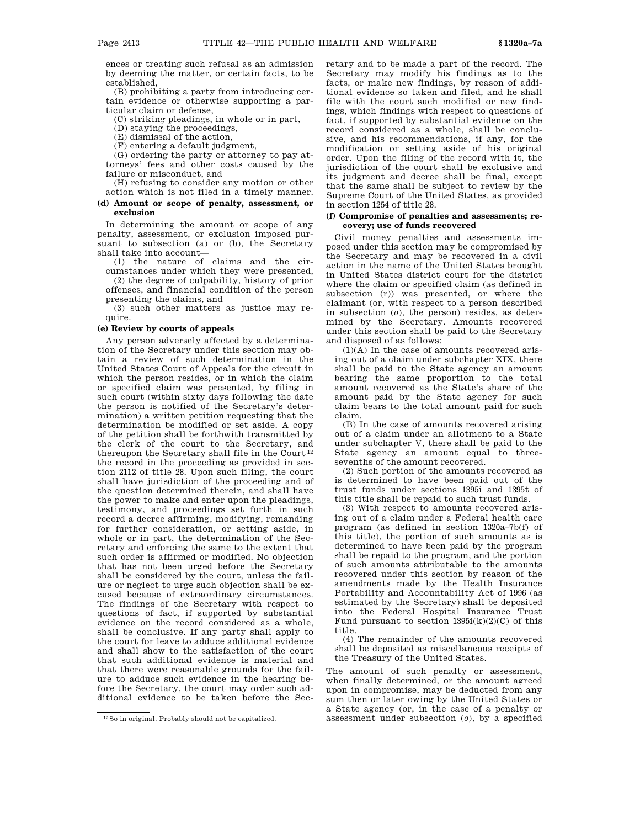ences or treating such refusal as an admission by deeming the matter, or certain facts, to be established,

(B) prohibiting a party from introducing certain evidence or otherwise supporting a particular claim or defense,

(C) striking pleadings, in whole or in part,

(D) staying the proceedings,

(E) dismissal of the action,

(F) entering a default judgment,

(G) ordering the party or attorney to pay attorneys' fees and other costs caused by the failure or misconduct, and

(H) refusing to consider any motion or other action which is not filed in a timely manner.

## **(d) Amount or scope of penalty, assessment, or exclusion**

In determining the amount or scope of any penalty, assessment, or exclusion imposed pursuant to subsection (a) or (b), the Secretary shall take into account—

(1) the nature of claims and the circumstances under which they were presented, (2) the degree of culpability, history of prior offenses, and financial condition of the person presenting the claims, and

(3) such other matters as justice may require.

# **(e) Review by courts of appeals**

Any person adversely affected by a determination of the Secretary under this section may obtain a review of such determination in the United States Court of Appeals for the circuit in which the person resides, or in which the claim or specified claim was presented, by filing in such court (within sixty days following the date the person is notified of the Secretary's determination) a written petition requesting that the determination be modified or set aside. A copy of the petition shall be forthwith transmitted by the clerk of the court to the Secretary, and thereupon the Secretary shall file in the Court 12 the record in the proceeding as provided in section 2112 of title 28. Upon such filing, the court shall have jurisdiction of the proceeding and of the question determined therein, and shall have the power to make and enter upon the pleadings, testimony, and proceedings set forth in such record a decree affirming, modifying, remanding for further consideration, or setting aside, in whole or in part, the determination of the Secretary and enforcing the same to the extent that such order is affirmed or modified. No objection that has not been urged before the Secretary shall be considered by the court, unless the failure or neglect to urge such objection shall be excused because of extraordinary circumstances. The findings of the Secretary with respect to questions of fact, if supported by substantial evidence on the record considered as a whole, shall be conclusive. If any party shall apply to the court for leave to adduce additional evidence and shall show to the satisfaction of the court that such additional evidence is material and that there were reasonable grounds for the failure to adduce such evidence in the hearing before the Secretary, the court may order such additional evidence to be taken before the Secretary and to be made a part of the record. The Secretary may modify his findings as to the facts, or make new findings, by reason of additional evidence so taken and filed, and he shall file with the court such modified or new findings, which findings with respect to questions of fact, if supported by substantial evidence on the record considered as a whole, shall be conclusive, and his recommendations, if any, for the modification or setting aside of his original order. Upon the filing of the record with it, the jurisdiction of the court shall be exclusive and its judgment and decree shall be final, except that the same shall be subject to review by the Supreme Court of the United States, as provided in section 1254 of title 28.

# **(f) Compromise of penalties and assessments; recovery; use of funds recovered**

Civil money penalties and assessments imposed under this section may be compromised by the Secretary and may be recovered in a civil action in the name of the United States brought in United States district court for the district where the claim or specified claim (as defined in subsection (r)) was presented, or where the claimant (or, with respect to a person described in subsection (*o*), the person) resides, as determined by the Secretary. Amounts recovered under this section shall be paid to the Secretary and disposed of as follows:

(1)(A) In the case of amounts recovered arising out of a claim under subchapter XIX, there shall be paid to the State agency an amount bearing the same proportion to the total amount recovered as the State's share of the amount paid by the State agency for such claim bears to the total amount paid for such claim.

(B) In the case of amounts recovered arising out of a claim under an allotment to a State under subchapter V, there shall be paid to the State agency an amount equal to threesevenths of the amount recovered.

(2) Such portion of the amounts recovered as is determined to have been paid out of the trust funds under sections 1395i and 1395t of this title shall be repaid to such trust funds.

(3) With respect to amounts recovered arising out of a claim under a Federal health care program (as defined in section 1320a–7b(f) of this title), the portion of such amounts as is determined to have been paid by the program shall be repaid to the program, and the portion of such amounts attributable to the amounts recovered under this section by reason of the amendments made by the Health Insurance Portability and Accountability Act of 1996 (as estimated by the Secretary) shall be deposited into the Federal Hospital Insurance Trust Fund pursuant to section  $1395i(k)(2)(C)$  of this title.

(4) The remainder of the amounts recovered shall be deposited as miscellaneous receipts of the Treasury of the United States.

The amount of such penalty or assessment, when finally determined, or the amount agreed upon in compromise, may be deducted from any sum then or later owing by the United States or a State agency (or, in the case of a penalty or assessment under subsection (*o*), by a specified

<sup>12</sup>So in original. Probably should not be capitalized.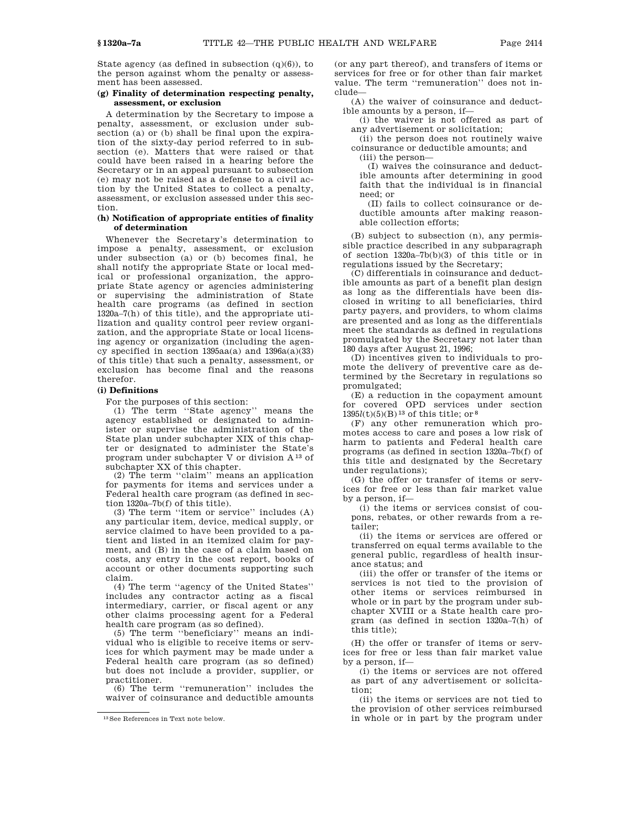State agency (as defined in subsection  $(q)(6)$ ), to the person against whom the penalty or assessment has been assessed.

# **(g) Finality of determination respecting penalty, assessment, or exclusion**

A determination by the Secretary to impose a penalty, assessment, or exclusion under sub $section (a)$  or (b) shall be final upon the expiration of the sixty-day period referred to in subsection (e). Matters that were raised or that could have been raised in a hearing before the Secretary or in an appeal pursuant to subsection (e) may not be raised as a defense to a civil action by the United States to collect a penalty, assessment, or exclusion assessed under this section.

# **(h) Notification of appropriate entities of finality of determination**

Whenever the Secretary's determination to impose a penalty, assessment, or exclusion under subsection (a) or (b) becomes final, he shall notify the appropriate State or local medical or professional organization, the appropriate State agency or agencies administering or supervising the administration of State health care programs (as defined in section 1320a–7(h) of this title), and the appropriate utilization and quality control peer review organization, and the appropriate State or local licensing agency or organization (including the agency specified in section  $1395aa(a)$  and  $1396a(a)(33)$ of this title) that such a penalty, assessment, or exclusion has become final and the reasons therefor.

# **(i) Definitions**

For the purposes of this section:

(1) The term ''State agency'' means the agency established or designated to administer or supervise the administration of the State plan under subchapter XIX of this chapter or designated to administer the State's program under subchapter V or division A 13 of subchapter XX of this chapter.

(2) The term ''claim'' means an application for payments for items and services under a Federal health care program (as defined in section 1320a–7b(f) of this title).

(3) The term ''item or service'' includes (A) any particular item, device, medical supply, or service claimed to have been provided to a patient and listed in an itemized claim for payment, and (B) in the case of a claim based on costs, any entry in the cost report, books of account or other documents supporting such claim.

(4) The term ''agency of the United States'' includes any contractor acting as a fiscal intermediary, carrier, or fiscal agent or any other claims processing agent for a Federal health care program (as so defined).

(5) The term ''beneficiary'' means an individual who is eligible to receive items or services for which payment may be made under a Federal health care program (as so defined) but does not include a provider, supplier, or practitioner.

(6) The term ''remuneration'' includes the waiver of coinsurance and deductible amounts (or any part thereof), and transfers of items or services for free or for other than fair market value. The term ''remuneration'' does not include—

(A) the waiver of coinsurance and deductible amounts by a person, if—

(i) the waiver is not offered as part of any advertisement or solicitation;

(ii) the person does not routinely waive coinsurance or deductible amounts; and

(iii) the person—

(I) waives the coinsurance and deductible amounts after determining in good faith that the individual is in financial need; or

(II) fails to collect coinsurance or deductible amounts after making reasonable collection efforts;

(B) subject to subsection (n), any permissible practice described in any subparagraph of section 1320a–7b(b)(3) of this title or in regulations issued by the Secretary;

(C) differentials in coinsurance and deductible amounts as part of a benefit plan design as long as the differentials have been disclosed in writing to all beneficiaries, third party payers, and providers, to whom claims are presented and as long as the differentials meet the standards as defined in regulations promulgated by the Secretary not later than 180 days after August 21, 1996;

(D) incentives given to individuals to promote the delivery of preventive care as determined by the Secretary in regulations so promulgated;

(E) a reduction in the copayment amount for covered OPD services under section  $1395l(t)(5)(B)^{13}$  of this title; or <sup>8</sup>

(F) any other remuneration which promotes access to care and poses a low risk of harm to patients and Federal health care programs (as defined in section 1320a–7b(f) of this title and designated by the Secretary under regulations);

(G) the offer or transfer of items or services for free or less than fair market value by a person, if—

(i) the items or services consist of coupons, rebates, or other rewards from a retailer;

(ii) the items or services are offered or transferred on equal terms available to the general public, regardless of health insurance status; and

(iii) the offer or transfer of the items or services is not tied to the provision of other items or services reimbursed in whole or in part by the program under subchapter XVIII or a State health care program (as defined in section 1320a–7(h) of this title);

(H) the offer or transfer of items or services for free or less than fair market value by a person, if—

(i) the items or services are not offered as part of any advertisement or solicitation;

(ii) the items or services are not tied to the provision of other services reimbursed in whole or in part by the program under

<sup>13</sup>See References in Text note below.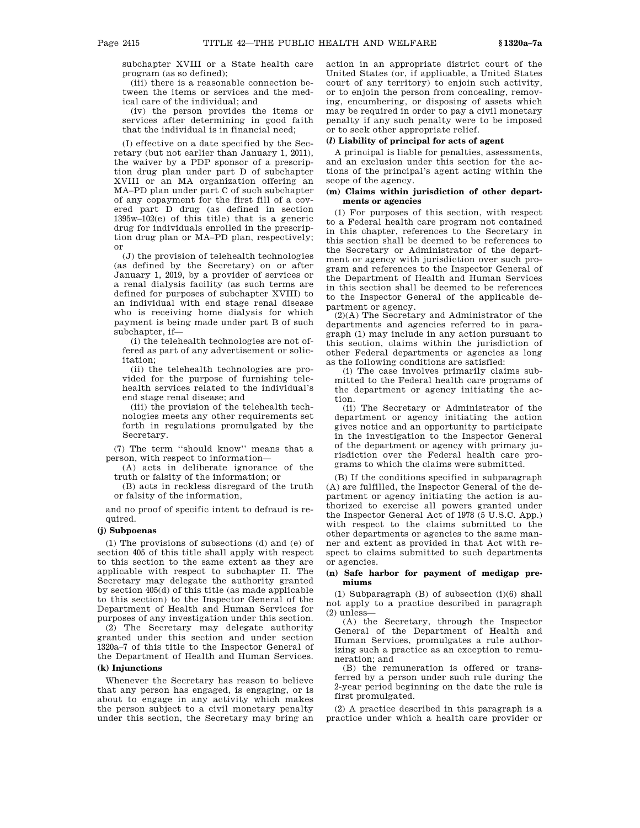subchapter XVIII or a State health care program (as so defined);

(iii) there is a reasonable connection between the items or services and the medical care of the individual; and

(iv) the person provides the items or services after determining in good faith that the individual is in financial need;

(I) effective on a date specified by the Secretary (but not earlier than January 1, 2011), the waiver by a PDP sponsor of a prescription drug plan under part D of subchapter XVIII or an MA organization offering an MA–PD plan under part C of such subchapter of any copayment for the first fill of a covered part D drug (as defined in section 1395w–102(e) of this title) that is a generic drug for individuals enrolled in the prescription drug plan or MA–PD plan, respectively; or

(J) the provision of telehealth technologies (as defined by the Secretary) on or after January 1, 2019, by a provider of services or a renal dialysis facility (as such terms are defined for purposes of subchapter XVIII) to an individual with end stage renal disease who is receiving home dialysis for which payment is being made under part B of such subchapter, if—

(i) the telehealth technologies are not offered as part of any advertisement or solicitation;

(ii) the telehealth technologies are provided for the purpose of furnishing telehealth services related to the individual's end stage renal disease; and

(iii) the provision of the telehealth technologies meets any other requirements set forth in regulations promulgated by the Secretary.

(7) The term ''should know'' means that a person, with respect to information—

(A) acts in deliberate ignorance of the truth or falsity of the information; or

(B) acts in reckless disregard of the truth or falsity of the information,

and no proof of specific intent to defraud is required.

## **(j) Subpoenas**

(1) The provisions of subsections (d) and (e) of section 405 of this title shall apply with respect to this section to the same extent as they are applicable with respect to subchapter II. The Secretary may delegate the authority granted by section 405(d) of this title (as made applicable to this section) to the Inspector General of the Department of Health and Human Services for purposes of any investigation under this section.

(2) The Secretary may delegate authority granted under this section and under section 1320a–7 of this title to the Inspector General of the Department of Health and Human Services.

# **(k) Injunctions**

Whenever the Secretary has reason to believe that any person has engaged, is engaging, or is about to engage in any activity which makes the person subject to a civil monetary penalty under this section, the Secretary may bring an action in an appropriate district court of the United States (or, if applicable, a United States court of any territory) to enjoin such activity, or to enjoin the person from concealing, removing, encumbering, or disposing of assets which may be required in order to pay a civil monetary penalty if any such penalty were to be imposed or to seek other appropriate relief.

## **(***l***) Liability of principal for acts of agent**

A principal is liable for penalties, assessments, and an exclusion under this section for the actions of the principal's agent acting within the scope of the agency.

# **(m) Claims within jurisdiction of other departments or agencies**

(1) For purposes of this section, with respect to a Federal health care program not contained in this chapter, references to the Secretary in this section shall be deemed to be references to the Secretary or Administrator of the department or agency with jurisdiction over such program and references to the Inspector General of the Department of Health and Human Services in this section shall be deemed to be references to the Inspector General of the applicable department or agency.

(2)(A) The Secretary and Administrator of the departments and agencies referred to in paragraph (1) may include in any action pursuant to this section, claims within the jurisdiction of other Federal departments or agencies as long as the following conditions are satisfied:

(i) The case involves primarily claims submitted to the Federal health care programs of the department or agency initiating the action.

(ii) The Secretary or Administrator of the department or agency initiating the action gives notice and an opportunity to participate in the investigation to the Inspector General of the department or agency with primary jurisdiction over the Federal health care programs to which the claims were submitted.

(B) If the conditions specified in subparagraph (A) are fulfilled, the Inspector General of the department or agency initiating the action is authorized to exercise all powers granted under the Inspector General Act of 1978 (5 U.S.C. App.) with respect to the claims submitted to the other departments or agencies to the same manner and extent as provided in that Act with respect to claims submitted to such departments or agencies.

# **(n) Safe harbor for payment of medigap premiums**

(1) Subparagraph (B) of subsection (i)(6) shall not apply to a practice described in paragraph (2) unless—

(A) the Secretary, through the Inspector General of the Department of Health and Human Services, promulgates a rule authorizing such a practice as an exception to remuneration; and

(B) the remuneration is offered or transferred by a person under such rule during the 2-year period beginning on the date the rule is first promulgated.

(2) A practice described in this paragraph is a practice under which a health care provider or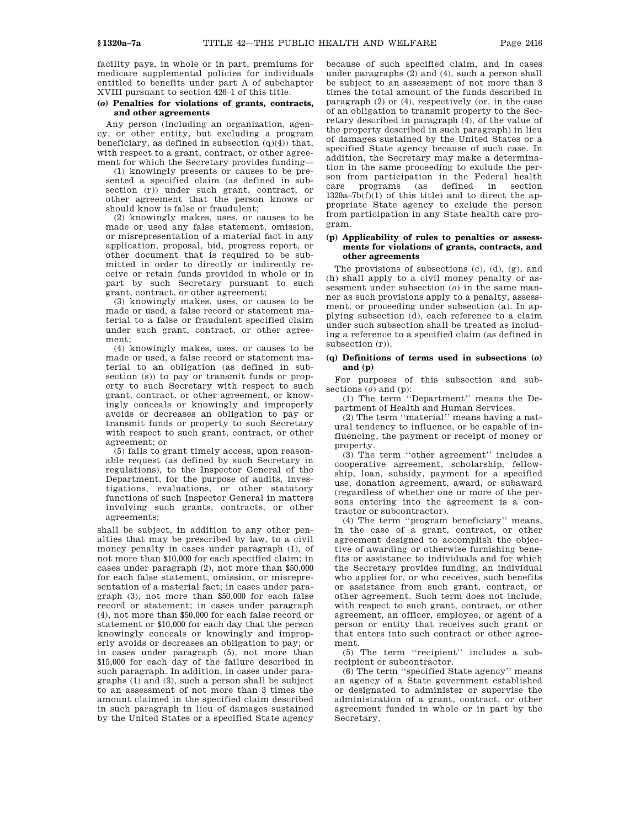facility pays, in whole or in part, premiums for medicare supplemental policies for individuals entitled to benefits under part A of subchapter XVIII pursuant to section 426–1 of this title.

# **(***o***) Penalties for violations of grants, contracts, and other agreements**

Any person (including an organization, agency, or other entity, but excluding a program beneficiary, as defined in subsection  $(q)(4)$  that, with respect to a grant, contract, or other agreement for which the Secretary provides funding—

(1) knowingly presents or causes to be presented a specified claim (as defined in subsection (r)) under such grant, contract, or other agreement that the person knows or should know is false or fraudulent;

(2) knowingly makes, uses, or causes to be made or used any false statement, omission, or misrepresentation of a material fact in any application, proposal, bid, progress report, or other document that is required to be submitted in order to directly or indirectly receive or retain funds provided in whole or in part by such Secretary pursuant to such grant, contract, or other agreement;

(3) knowingly makes, uses, or causes to be made or used, a false record or statement material to a false or fraudulent specified claim under such grant, contract, or other agreement;

(4) knowingly makes, uses, or causes to be made or used, a false record or statement material to an obligation (as defined in subsection (s)) to pay or transmit funds or property to such Secretary with respect to such grant, contract, or other agreement, or knowingly conceals or knowingly and improperly avoids or decreases an obligation to pay or transmit funds or property to such Secretary with respect to such grant, contract, or other agreement; or

(5) fails to grant timely access, upon reasonable request (as defined by such Secretary in regulations), to the Inspector General of the Department, for the purpose of audits, investigations, evaluations, or other statutory functions of such Inspector General in matters involving such grants, contracts, or other agreements;

shall be subject, in addition to any other penalties that may be prescribed by law, to a civil money penalty in cases under paragraph (1), of not more than \$10,000 for each specified claim; in cases under paragraph (2), not more than \$50,000 for each false statement, omission, or misrepresentation of a material fact; in cases under paragraph (3), not more than \$50,000 for each false record or statement; in cases under paragraph (4), not more than \$50,000 for each false record or statement or \$10,000 for each day that the person knowingly conceals or knowingly and improperly avoids or decreases an obligation to pay; or in cases under paragraph (5), not more than \$15,000 for each day of the failure described in such paragraph. In addition, in cases under paragraphs (1) and (3), such a person shall be subject to an assessment of not more than 3 times the amount claimed in the specified claim described in such paragraph in lieu of damages sustained by the United States or a specified State agency

because of such specified claim, and in cases under paragraphs (2) and (4), such a person shall be subject to an assessment of not more than 3 times the total amount of the funds described in paragraph (2) or (4), respectively (or, in the case of an obligation to transmit property to the Secretary described in paragraph (4), of the value of the property described in such paragraph) in lieu of damages sustained by the United States or a specified State agency because of such case. In addition, the Secretary may make a determination in the same proceeding to exclude the person from participation in the Federal health care programs (as defined in section  $1320a-7b(f)(1)$  of this title) and to direct the appropriate State agency to exclude the person from participation in any State health care program.

# **(p) Applicability of rules to penalties or assessments for violations of grants, contracts, and other agreements**

The provisions of subsections (c), (d), (g), and (h) shall apply to a civil money penalty or assessment under subsection (*o*) in the same manner as such provisions apply to a penalty, assessment, or proceeding under subsection (a). In applying subsection (d), each reference to a claim under such subsection shall be treated as including a reference to a specified claim (as defined in subsection (r)).

## **(q) Definitions of terms used in subsections (***o***) and (p)**

For purposes of this subsection and subsections (*o*) and (p):

(1) The term ''Department'' means the Department of Health and Human Services.

(2) The term ''material'' means having a natural tendency to influence, or be capable of influencing, the payment or receipt of money or property.

(3) The term ''other agreement'' includes a cooperative agreement, scholarship, fellowship, loan, subsidy, payment for a specified use, donation agreement, award, or subaward (regardless of whether one or more of the persons entering into the agreement is a contractor or subcontractor).

(4) The term ''program beneficiary'' means, in the case of a grant, contract, or other agreement designed to accomplish the objective of awarding or otherwise furnishing benefits or assistance to individuals and for which the Secretary provides funding, an individual who applies for, or who receives, such benefits or assistance from such grant, contract, or other agreement. Such term does not include, with respect to such grant, contract, or other agreement, an officer, employee, or agent of a person or entity that receives such grant or that enters into such contract or other agreement.

(5) The term ''recipient'' includes a subrecipient or subcontractor.

(6) The term ''specified State agency'' means an agency of a State government established or designated to administer or supervise the administration of a grant, contract, or other agreement funded in whole or in part by the Secretary.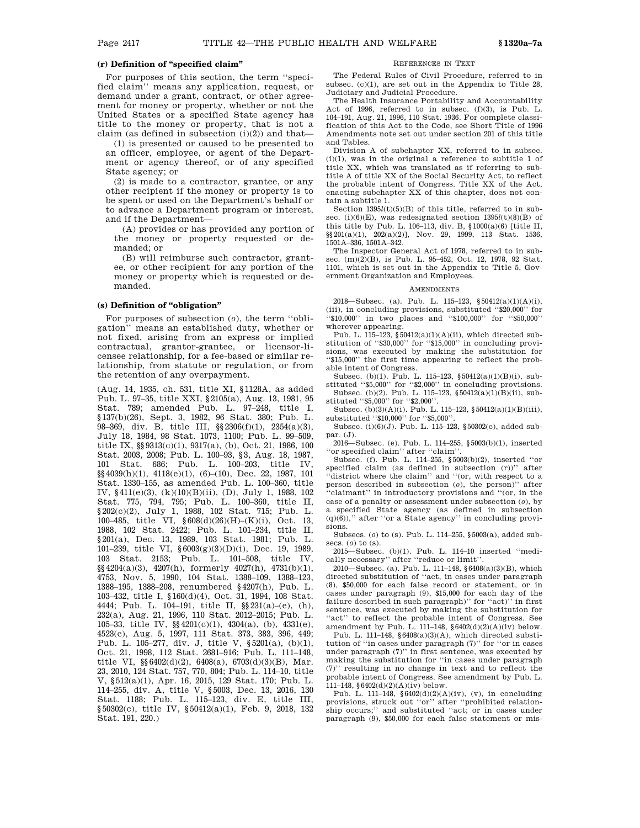## **(r) Definition of ''specified claim''**

For purposes of this section, the term ''specified claim'' means any application, request, or demand under a grant, contract, or other agreement for money or property, whether or not the United States or a specified State agency has title to the money or property, that is not a claim (as defined in subsection  $(i)(2)$ ) and that—

(1) is presented or caused to be presented to an officer, employee, or agent of the Department or agency thereof, or of any specified State agency; or

(2) is made to a contractor, grantee, or any other recipient if the money or property is to be spent or used on the Department's behalf or to advance a Department program or interest, and if the Department—

(A) provides or has provided any portion of the money or property requested or demanded; or

(B) will reimburse such contractor, grantee, or other recipient for any portion of the money or property which is requested or demanded.

# **(s) Definition of ''obligation''**

For purposes of subsection (*o*), the term ''obligation'' means an established duty, whether or not fixed, arising from an express or implied contractual, grantor-grantee, or licensor-licensee relationship, for a fee-based or similar relationship, from statute or regulation, or from the retention of any overpayment.

(Aug. 14, 1935, ch. 531, title XI, §1128A, as added Pub. L. 97–35, title XXI, §2105(a), Aug. 13, 1981, 95 Stat. 789; amended Pub. L. 97–248, title I, §137(b)(26), Sept. 3, 1982, 96 Stat. 380; Pub. L. 98–369, div. B, title III, §§2306(f)(1), 2354(a)(3), July 18, 1984, 98 Stat. 1073, 1100; Pub. L. 99–509, title IX,  $\S$ 9313(c)(1), 9317(a), (b), Oct. 21, 1986, 100 Stat. 2003, 2008; Pub. L. 100–93, §3, Aug. 18, 1987, 101 Stat. 686; Pub. L. 100–203, title IV, §§4039(h)(1), 4118(e)(1), (6)–(10), Dec. 22, 1987, 101 Stat. 1330–155, as amended Pub. L. 100–360, title IV,  $\S\,411(e)(3),\ (k)(10)(B)(ii),\ (D),\ July$ 1, 1988, 102 Stat. 775, 794, 795; Pub. L. 100–360, title II, §202(c)(2), July 1, 1988, 102 Stat. 715; Pub. L. 100–485, title VI, §608(d)(26)(H)–(K)(i), Oct. 13, 1988, 102 Stat. 2422; Pub. L. 101–234, title II, §201(a), Dec. 13, 1989, 103 Stat. 1981; Pub. L. 101–239, title VI, §6003(g)(3)(D)(i), Dec. 19, 1989, 103 Stat. 2153; Pub. L. 101–508, title IV, §§4204(a)(3), 4207(h), formerly 4027(h), 4731(b)(1), 4753, Nov. 5, 1990, 104 Stat. 1388–109, 1388–123, 1388–195, 1388–208, renumbered §4207(h), Pub. L. 103–432, title I, §160(d)(4), Oct. 31, 1994, 108 Stat. 4444; Pub. L. 104–191, title II, §§231(a)–(e), (h), 232(a), Aug. 21, 1996, 110 Stat. 2012–2015; Pub. L. 105–33, title IV, §§4201(c)(1), 4304(a), (b), 4331(e), 4523(c), Aug. 5, 1997, 111 Stat. 373, 383, 396, 449; Pub. L. 105–277, div. J, title V, §5201(a), (b)(1), Oct. 21, 1998, 112 Stat. 2681–916; Pub. L. 111–148, title VI, §§6402(d)(2), 6408(a), 6703(d)(3)(B), Mar. 23, 2010, 124 Stat. 757, 770, 804; Pub. L. 114–10, title V, §512(a)(1), Apr. 16, 2015, 129 Stat. 170; Pub. L. 114–255, div. A, title V, §5003, Dec. 13, 2016, 130 Stat. 1188; Pub. L. 115–123, div. E, title III, §50302(c), title IV, §50412(a)(1), Feb. 9, 2018, 132 Stat. 191, 220.)

## REFERENCES IN TEXT

The Federal Rules of Civil Procedure, referred to in subsec. (c)(1), are set out in the Appendix to Title 28, Judiciary and Judicial Procedure.

The Health Insurance Portability and Accountability Act of 1996, referred to in subsec. (f)(3), is Pub. L. 104–191, Aug. 21, 1996, 110 Stat. 1936. For complete classification of this Act to the Code, see Short Title of 1996 Amendments note set out under section 201 of this title and Tables.

Division A of subchapter XX, referred to in subsec. (i)(1), was in the original a reference to subtitle 1 of title XX, which was translated as if referring to subtitle A of title XX of the Social Security Act, to reflect the probable intent of Congress. Title XX of the Act, enacting subchapter XX of this chapter, does not contain a subtitle 1.

Section  $1395l(t)(5)(B)$  of this title, referred to in subsec.  $(i)(6)(E)$ , was redesignated section  $1395l(t)(8)(B)$  of this title by Pub. L. 106-113, div. B,  $$1000(a)(6)$  [title II, §§201(a)(1), 202(a)(2)], Nov. 29, 1999, 113 Stat. 1536, 1501A–336, 1501A–342.

The Inspector General Act of 1978, referred to in subsec. (m)(2)(B), is Pub. L. 95–452, Oct. 12, 1978, 92 Stat. 1101, which is set out in the Appendix to Title 5, Government Organization and Employees.

## AMENDMENTS

2018—Subsec. (a). Pub. L. 115–123, §50412(a)(1)(A)(i), (iii), in concluding provisions, substituted "\$20,000" for ''\$10,000'' in two places and ''\$100,000'' for ''\$50,000'' wherever appearing.

Pub. L. 115–123,  $\overline{\S}$ 50412(a)(1)(A)(ii), which directed substitution of ''\$30,000'' for ''\$15,000'' in concluding provisions, was executed by making the substitution for ''\$15,000'' the first time appearing to reflect the probable intent of Congress.

Subsec. (b)(1). Pub. L. 115–123, §50412(a)(1)(B)(i), substituted ''\$5,000'' for ''\$2,000'' in concluding provisions.

Subsec. (b)(2). Pub. L. 115–123, §50412(a)(1)(B)(ii), substituted ''\$5,000'' for ''\$2,000''.

Subsec. (b)(3)(A)(i). Pub. L. 115–123, §50412(a)(1)(B)(iii), substituted ''\$10,000'' for ''\$5,000''.

Subsec. (i)( $6)(J)$ . Pub. L. 115–123, §50302(c), added subpar. (J).

2016—Subsec. (e). Pub. L. 114–255, §5003(b)(1), inserted ''or specified claim'' after ''claim''.

Subsec. (f). Pub. L. 114–255, §5003(b)(2), inserted ''or specified claim (as defined in subsection (r))'' after ''district where the claim'' and ''(or, with respect to a person described in subsection (*o*), the person)'' after ''claimant'' in introductory provisions and ''(or, in the case of a penalty or assessment under subsection (*o*), by a specified State agency (as defined in subsection  $(q)(6)$ ," after "or a State agency" in concluding provisions.

Subsecs. (*o*) to (s). Pub. L. 114–255, §5003(a), added subsecs. (*o*) to (s).

2015—Subsec. (b)(1). Pub. L. 114–10 inserted ''medically necessary'' after ''reduce or limit''.

2010—Subsec. (a). Pub. L. 111–148, §6408(a)(3)(B), which directed substitution of ''act, in cases under paragraph (8), \$50,000 for each false record or statement, or in cases under paragraph (9), \$15,000 for each day of the failure described in such paragraph)'' for ''act)'' in first sentence, was executed by making the substitution for "act" to reflect the probable intent of Congress. See amendment by Pub. L. 111-148,  $\frac{6402(d)(2)(A)(iv)}{2}$  below.

Pub. L. 111–148,  $§6408(a)(3)(A)$ , which directed substitution of "in cases under paragraph  $(7)$ " for "or in cases" under paragraph (7)'' in first sentence, was executed by making the substitution for ''in cases under paragraph (7)'' resulting in no change in text and to reflect the probable intent of Congress. See amendment by Pub. L. 111–148, §6402(d)(2)(A)(iv) below.

Pub. L. 111–148, §6402(d)(2)(A)(iv), (v), in concluding provisions, struck out ''or'' after ''prohibited relation-ship occurs;'' and substituted ''act; or in cases under paragraph (9), \$50,000 for each false statement or mis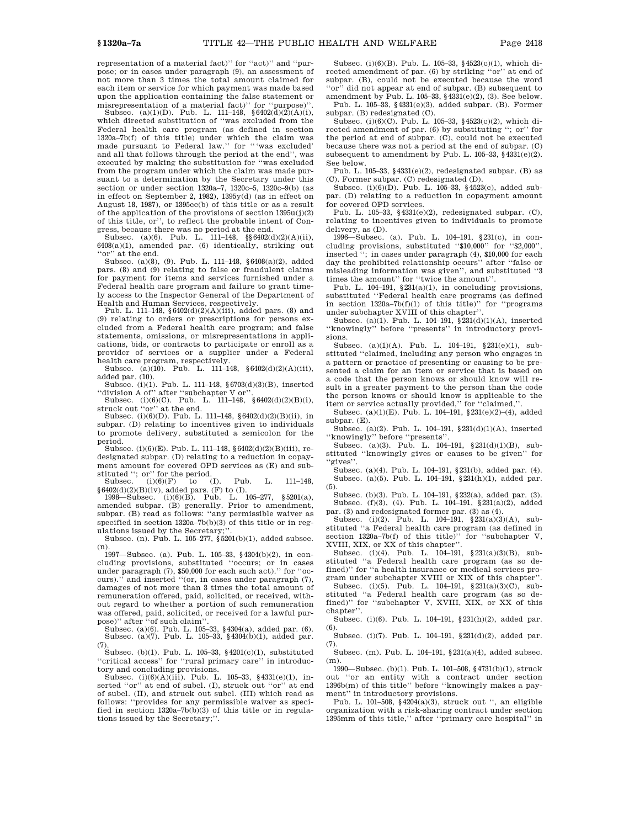representation of a material fact)'' for ''act)'' and ''purpose; or in cases under paragraph (9), an assessment of not more than 3 times the total amount claimed for each item or service for which payment was made based upon the application containing the false statement or misrepresentation of a material fact)" for "purpose)

Subsec. (a)(1)(D). Pub. L. 111–148,  $\frac{6402(d)(2)(A)(i)}{2(2)}$ , which directed substitution of ''was excluded from the Federal health care program (as defined in section 1320a–7b(f) of this title) under which the claim was made pursuant to Federal law.'' for '''was excluded' and all that follows through the period at the end'', was executed by making the substitution for ''was excluded from the program under which the claim was made pursuant to a determination by the Secretary under this section or under section 1320a–7, 1320c–5, 1320c–9(b) (as in effect on September 2, 1982), 1395y(d) (as in effect on August 18, 1987), or 1395cc(b) of this title or as a result of the application of the provisions of section 1395u(j)(2) of this title, or'', to reflect the probable intent of Con-

gress, because there was no period at the end.<br>Subsec. (a)(6). Pub. L. 111–148,  $\S\$ 6402(d)(2)(A)(ii), 6408(a)(1), amended par. (6) identically, striking out 'or" at the end.

Subsec. (a)(8), (9). Pub. L. 111–148, §6408(a)(2), added pars. (8) and (9) relating to false or fraudulent claims for payment for items and services furnished under a Federal health care program and failure to grant timely access to the Inspector General of the Department of Health and Human Services, respectively.

Pub. L. 111–148, §6402(d)(2)(A)(iii), added pars. (8) and (9) relating to orders or prescriptions for persons excluded from a Federal health care program; and false statements, omissions, or misrepresentations in applications, bids, or contracts to participate or enroll as a provider of services or a supplier under a Federal

health care program, respectively.<br>Subsec. (a)(10). Pub. L. 111–148, §6402(d)(2)(A)(iii), added par. (10).

Subsec. (i)(1). Pub. L. 111–148, §6703(d)(3)(B), inserted ''division A of'' after ''subchapter V or''.

Subsec. (i)(6)(C). Pub. L. 111–148,  $§6402(d)(2)(B)(i)$ , struck out "or" at the end.

Subsec. (i)(6)(D). Pub. L. 111–148, §6402(d)(2)(B)(ii), in subpar. (D) relating to incentives given to individuals to promote delivery, substituted a semicolon for the period.

Subsec. (i)(6)(E). Pub. L. 111–148, §6402(d)(2)(B)(iii), redesignated subpar. (D) relating to a reduction in copayment amount for covered OPD services as (E) and substituted "; or" for the period.<br>
Subsec. (i)(6)(F) to (I). Pub. L. 111–148,

 $§6402(d)(2)(B)(iv)$ , added pars. (F) to (I).<br>1998—Subsec. (i)(6)(B). Pub. L. 105–277, §5201(a),

amended subpar. (B) generally. Prior to amendment, subpar. (B) read as follows: ''any permissible waiver as specified in section 1320a–7b(b)(3) of this title or in regulations issued by the Secretary:

Subsec. (n). Pub. L. 105–277,  $\S 5201(b)(1)$ , added subsec. (n).

1997—Subsec. (a). Pub. L. 105–33, §4304(b)(2), in concluding provisions, substituted ''occurs; or in cases under paragraph (7), \$50,000 for each such act)." for "occurs).'' and inserted ''(or, in cases under paragraph (7), damages of not more than 3 times the total amount of remuneration offered, paid, solicited, or received, without regard to whether a portion of such remuneration was offered, paid, solicited, or received for a lawful purpose)'' after ''of such claim''.

Subsec. (a)(6). Pub. L. 105–33, §4304(a), added par. (6). Subsec. (a)(7). Pub. L. 105–33, §4304(b)(1), added par. (7).

Subsec. (b)(1). Pub. L. 105–33, §4201(c)(1), substituted ''critical access'' for ''rural primary care'' in introductory and concluding provisions.

Subsec. (i)(6)(A)(iii). Pub. L. 105–33, §4331(e)(1), inserted ''or'' at end of subcl. (I), struck out ''or'' at end of subcl. (II), and struck out subcl. (III) which read as follows: ''provides for any permissible waiver as speci-fied in section 1320a–7b(b)(3) of this title or in regulations issued by the Secretary;''.

Subsec. (i)(6)(B). Pub. L. 105–33, §4523(c)(1), which directed amendment of par. (6) by striking ''or'' at end of subpar. (B), could not be executed because the word ''or'' did not appear at end of subpar. (B) subsequent to amendment by Pub. L. 105–33, §4331(e)(2), (3). See below.

Pub. L. 105–33, §4331(e)(3), added subpar. (B). Former subpar. (B) redesignated (C).

Subsec. (i)(6)(C). Pub. L. 105–33, §4523(c)(2), which directed amendment of par. (6) by substituting ''; or'' for the period at end of subpar. (C), could not be executed because there was not a period at the end of subpar. (C) subsequent to amendment by Pub. L. 105-33,  $§ 4331(e)(2)$ . See below.

Pub. L. 105–33, §4331(e)(2), redesignated subpar. (B) as (C). Former subpar. (C) redesignated (D).

Subsec. (i)(6)(D). Pub. L. 105–33, §4523(c), added subpar. (D) relating to a reduction in copayment amount for covered OPD services.

Pub. L. 105–33, §4331(e)(2), redesignated subpar. (C), relating to incentives given to individuals to promote delivery, as (D). 1996—Subsec. (a). Pub. L. 104–191, §231(c), in con-

cluding provisions, substituted ''\$10,000'' for ''\$2,000'', inserted ''; in cases under paragraph (4), \$10,000 for each day the prohibited relationship occurs'' after ''false or misleading information was given'', and substituted ''3 times the amount'' for ''twice the amount''.

Pub. L. 104–191,  $§231(a)(1)$ , in concluding provisions, substituted ''Federal health care programs (as defined in section 1320a–7b(f)(1) of this title)'' for ''programs under subchapter XVIII of this chapter''.

Subsec. (a)(1). Pub. L. 104–191,  $\S 231(d)(1)(A)$ , inserted ''knowingly'' before ''presents'' in introductory provisions.

Subsec. (a)(1)(A). Pub. L. 104–191, §231(e)(1), substituted ''claimed, including any person who engages in a pattern or practice of presenting or causing to be presented a claim for an item or service that is based on a code that the person knows or should know will result in a greater payment to the person than the code the person knows or should know is applicable to the item or service actually provided," for "claimed,"

Subsec. (a)(1)(E). Pub. L. 104–191,  $\S 231(e)(2)$ –(4), added subpar. (E).

Subsec. (a)(2). Pub. L. 104–191,  $\frac{231(d)(1)(A)}{106}$ , inserted 'knowingly'' before "presents".

Subsec. (a)(3). Pub. L. 104–191, §231(d)(1)(B), substituted ''knowingly gives or causes to be given'' for 'gives".

Subsec. (a)(4). Pub. L. 104–191, §231(b), added par. (4). Subsec. (a)(5). Pub. L. 104–191, §231(h)(1), added par. (5).

Subsec. (b)(3). Pub. L. 104–191, §232(a), added par. (3). Subsec. (f)(3), (4). Pub. L. 104–191, §231(a)(2), added par. (3) and redesignated former par. (3) as (4).

Subsec. (i)(2). Pub. L.  $104-191$ ,  $$231(a)(3)(A)$ , substituted ''a Federal health care program (as defined in section 1320a–7b(f) of this title)'' for ''subchapter V, XVIII, XIX, or XX of this chapter''.

Subsec. (i)(4). Pub. L. 104–191, §231(a)(3)(B), substituted ''a Federal health care program (as so defined)'' for ''a health insurance or medical services program under subchapter XVIII or XIX of this chapter''.

Subsec. (i)(5). Pub. L. 104–191, §231(a)(3)(C), substituted ''a Federal health care program (as so defined)'' for ''subchapter V, XVIII, XIX, or XX of this chapter''.

Subsec. (i)(6). Pub. L. 104–191, §231(h)(2), added par. (6).

Subsec. (i)(7). Pub. L. 104–191, §231(d)(2), added par. (7). Subsec. (m). Pub. L. 104–191, §231(a)(4), added subsec.

(m).

1990—Subsec. (b)(1). Pub. L. 101–508, §4731(b)(1), struck out ''or an entity with a contract under section 1396b(m) of this title'' before ''knowingly makes a payment'' in introductory provisions.

Pub. L. 101–508,  $§4204(a)(3)$ , struck out ", an eligible organization with a risk-sharing contract under section 1395mm of this title,'' after ''primary care hospital'' in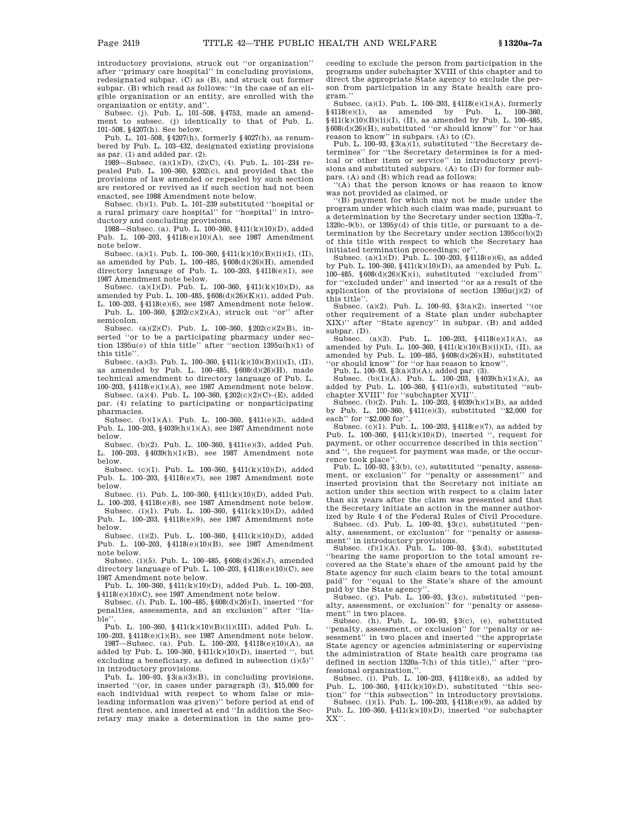introductory provisions, struck out ''or organization'' after ''primary care hospital'' in concluding provisions, redesignated subpar. (C) as (B), and struck out former subpar. (B) which read as follows: ''in the case of an eligible organization or an entity, are enrolled with the organization or entity, and''.

Subsec. (j). Pub. L. 101–508, §4753, made an amendment to subsec. (j) identically to that of Pub. L. 101–508, §4207(h). See below.

Pub. L. 101–508, §4207(h), formerly §4027(h), as renumbered by Pub. L. 103–432, designated existing provisions as par. (1) and added par. (2).

1989—Subsec. (a)(1)(D), (2)(C), (4). Pub. L. 101–234 repealed Pub. L. 100–360, §202(c), and provided that the provisions of law amended or repealed by such section are restored or revived as if such section had not been enacted, see 1988 Amendment note below.

Subsec. (b)(1). Pub. L. 101–239 substituted ''hospital or a rural primary care hospital'' for ''hospital'' in introductory and concluding provisions.

1988—Subsec. (a). Pub. L. 100–360, §411(k)(10)(D), added Pub. L. 100–203, §4118(e)(10)(A), see 1987 Amendment note below.

Subsec. (a)(1). Pub. L. 100-360, §411(k)(10)(B)(ii)(I), (II), as amended by Pub. L. 100–485, §608(d)(26)(H), amended directory language of Pub. L. 100–203, §4118(e)(1), see 1987 Amendment note below.

Subsec. (a)(1)(D). Pub. L. 100–360, §411(k)(10)(D), as amended by Pub. L. 100-485,  $§ 608(d)(26)(K)(i)$ , added Pub. L. 100–203, §4118(e)(6), see 1987 Amendment note below.

Pub. L. 100–360, §202(c)(2)(A), struck out ''or'' after semicolon.

Subsec. (a)(2)(C). Pub. L. 100–360, §202(c)(2)(B), inserted ''or to be a participating pharmacy under section 1395u(*o*) of this title'' after ''section 1395u(h)(1) of this title''.

Subsec. (a)(3). Pub. L. 100–360, §411(k)(10)(B)(ii)(I), (II), as amended by Pub. L. 100–485, §608(d)(26)(H), made technical amendment to directory language of Pub. L. 100–203, §4118(e)(1)(A), see 1987 Amendment note below.

Subsec. (a)(4). Pub. L. 100–360, §202(c)(2)(C)–(E), added par. (4) relating to participating or nonparticipating pharmacies.

Subsec. (b)(1)(A). Pub. L. 100–360, §411(e)(3), added Pub. L. 100–203, §4039(h)(1)(A), see 1987 Amendment note below.

Subsec. (b)(2). Pub. L. 100–360, §411(e)(3), added Pub. L. 100–203, §4039(h)(1)(B), see 1987 Amendment note below.

Subsec. (c)(1). Pub. L. 100–360, §411(k)(10)(D), added Pub. L. 100–203, §4118(e)(7), see 1987 Amendment note below.

Subsec. (i). Pub. L. 100–360, §411(k)(10)(D), added Pub.

L. 100–203, §4118(e)(8), see 1987 Amendment note below. Subsec. (i)(1). Pub. L. 100–360, §411(k)(10)(D), added Pub. L. 100–203, §4118(e)(9), see 1987 Amendment note below.

Subsec. (i)(2). Pub. L. 100–360, §411(k)(10)(D), added Pub. L. 100–203, §4118(e)(10)(B), see 1987 Amendment note below.

Subsec. (i)(5). Pub. L. 100–485, §608(d)(26)(J), amended directory language of Pub. L.  $100-203$ ,  $\frac{6}{9}4118(e)(10)(C)$ , see 1987 Amendment note below.

Pub. L. 100–360, §411(k)(10)(D), added Pub. L. 100–203, §4118(e)(10)(C), see 1987 Amendment note below.

Subsec. (*l*). Pub. L. 100–485, §608(d)(26)(I), inserted ''for penalties, assessments, and an exclusion'' after ''liable''.

Pub. L. 100–360, §411(k)(10)(B)(ii)(III), added Pub. L.

100–203, §4118(e)(1)(B), see 1987 Amendment note below. 1987—Subsec. (a). Pub. L. 100–203, §4118(e)(10)(A), as added by Pub. L. 100–360,  $$411(k)(10)(D)$ , inserted ", but excluding a beneficiary, as defined in subsection  $(i)(5)$ " in introductory provisions.

Pub. L. 100–93,  $\S 3(a)(3)(B)$ , in concluding provisions, inserted ''(or, in cases under paragraph (3), \$15,000 for each individual with respect to whom false or misleading information was given)'' before period at end of first sentence, and inserted at end ''In addition the Secretary may make a determination in the same proceeding to exclude the person from participation in the programs under subchapter XVIII of this chapter and to direct the appropriate State agency to exclude the person from participation in any State health care program.''

Subsec. (a)(1). Pub. L. 100–203, §4118(e)(1)(A), formerly  $§4118(e)(1)$ , as amended by Pub. L. 100–360,  $§411(k)(10)(B)(ii)(I)$ , (II), as amended by Pub. L. 100–485, §608(d)(26)(H), substituted ''or should know'' for ''or has reason to know'' in subpars. (A) to (C). Pub. L. 100–93, §3(a)(1), substituted ''the Secretary de-

termines'' for ''the Secretary determines is for a med-ical or other item or service'' in introductory provisions and substituted subpars. (A) to (D) for former subpars. (A) and (B) which read as follows:

''(A) that the person knows or has reason to know was not provided as claimed, or

''(B) payment for which may not be made under the program under which such claim was made, pursuant to a determination by the Secretary under section 1320a–7, 1320c–9(b), or 1395y(d) of this title, or pursuant to a determination by the Secretary under section 1395cc(b)(2) of this title with respect to which the Secretary has initiated termination proceedings; or'

Subsec. (a)(1)(D). Pub. L. 100–203, §4118(e)(6), as added by Pub. L. 100–360, §411(k)(10)(D), as amended by Pub. L. 100–485, §608(d)(26)(K)(i), substituted ''excluded from'' for ''excluded under'' and inserted ''or as a result of the application of the provisions of section  $1395u(i)(2)$  of this title'

Subsec. (a)(2). Pub. L. 100–93, §3(a)(2), inserted ''(or other requirement of a State plan under subchapter XIX)'' after ''State agency'' in subpar. (B) and added subpar. (D).

Subsec. (a)(3). Pub. L. 100-203,  $$4118(e)(1)(A)$ , as amended by Pub. L. 100–360, §411(k)(10)(B)(ii)(I), (II), as amended by Pub. L. 100–485, §608(d)(26)(H), substituted

"or should know" for "or has reason to know".<br>Pub. L. 100–93, §3(a)(3)(A), added par. (3).<br>Subsec. (b)(1)(A). Pub. L. 100–203, §4039(h)(1)(A), as added by Pub. L. 100–360, §411(e)(3), substituted ''sub-chapter XVIII'' for ''subchapter XVII''.

Subsec. (b)(2). Pub. L. 100–203, §4039(h)(1)(B), as added by Pub. L. 100–360, §411(e)(3), substituted ''\$2,000 for each'' for "\$2,000 for"

Subsec. (c)(1). Pub. L. 100–203, §4118(e)(7), as added by Pub. L. 100–360, §411(k)(10)(D), inserted '', request for payment, or other occurrence described in this section'' and '', the request for payment was made, or the occurrence took place'

Pub. L. 100–93, §3(b), (c), substituted ''penalty, assessment, or exclusion'' for ''penalty or assessment'' and inserted provision that the Secretary not initiate an action under this section with respect to a claim later than six years after the claim was presented and that the Secretary initiate an action in the manner authorized by Rule 4 of the Federal Rules of Civil Procedure.

Subsec. (d). Pub. L. 100–93, §3(c), substituted ''pen-alty, assessment, or exclusion'' for ''penalty or assessment'' in introductory provisions.

Subsec.  $(f)(1)(A)$ . Pub. L. 100-93, §3(d), substituted ''bearing the same proportion to the total amount recovered as the State's share of the amount paid by the State agency for such claim bears to the total amount paid'' for ''equal to the State's share of the amount

paid by the State agency''. Subsec. (g). Pub. L. 100–93, §3(c), substituted ''pen-alty, assessment, or exclusion'' for ''penalty or assessment'' in two places.

Subsec. (h). Pub. L. 100–93, §3(c), (e), substituted ''penalty, assessment, or exclusion'' for ''penalty or assessment'' in two places and inserted ''the appropriate State agency or agencies administering or supervising the administration of State health care programs (as defined in section 1320a–7(h) of this title),'' after ''pro-

fessional organization,''. Subsec. (i). Pub. L. 100–203, §4118(e)(8), as added by Pub. L. 100–360, §411(k)(10)(D), substituted ''this sec-tion'' for ''this subsection'' in introductory provisions.

Subsec. (i)(1). Pub. L. 100–203,  $$4118(e)(9)$ , as added by Pub. L. 100–360, §411(k)(10)(D), inserted ''or subchapter XX''.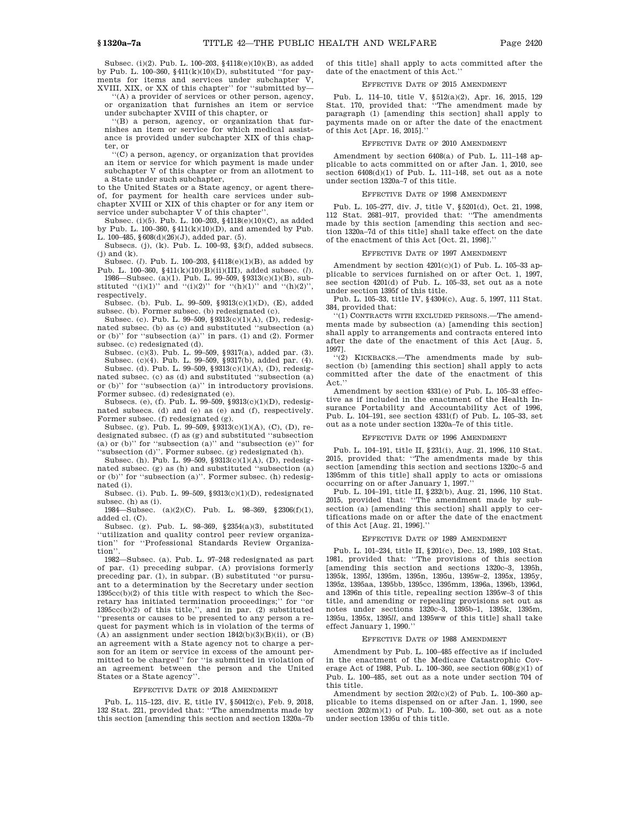Subsec. (i)(2). Pub. L. 100–203, §4118(e)(10)(B), as added by Pub. L. 100–360, §411(k)(10)(D), substituted ''for payments for items and services under subchapter XVIII, XIX, or XX of this chapter'' for ''submitted by—

''(A) a provider of services or other person, agency, or organization that furnishes an item or service under subchapter XVIII of this chapter, or

''(B) a person, agency, or organization that furnishes an item or service for which medical assistance is provided under subchapter XIX of this chapter, or

''(C) a person, agency, or organization that provides an item or service for which payment is made under subchapter V of this chapter or from an allotment to a State under such subchapter,

to the United States or a State agency, or agent thereof, for payment for health care services under subchapter XVIII or XIX of this chapter or for any item or service under subchapter V of this chapter''.

Subsec. (i)(5). Pub. L. 100–203, §4118(e)(10)(C), as added by Pub. L. 100-360,  $§411(k)(10)(D)$ , and amended by Pub. L. 100–485, §608(d)(26)(J), added par. (5).

Subsecs. (j),  $(k)$ . Pub. L. 100–93, §3(f), added subsecs.  $(j)$  and  $(k)$ .

Subsec. (*l*). Pub. L. 100–203, §4118(e)(1)(B), as added by Pub. L. 100–360, §411(k)(10)(B)(ii)(III), added subsec. (*l*).

1986—Subsec. (a)(1). Pub. L. 99–509, §9313(c)(1)(B), substituted "(i)(1)" and "(i)(2)" for "(h)(1)" and "(h)(2)", respectively.

Subsec. (b). Pub. L. 99–509, §9313(c)(1)(D), (E), added subsec. (b). Former subsec. (b) redesignated (c).

Subsec. (c). Pub. L. 99–509, §9313(c)(1)(A), (D), redesignated subsec. (b) as (c) and substituted ''subsection (a) or (b)'' for ''subsection (a)'' in pars. (1) and (2). Former subsec. (c) redesignated (d).

Subsec. (c)(3). Pub. L. 99–509, §9317(a), added par. (3). Subsec. (c)(4). Pub. L. 99–509, §9317(b), added par. (4).

Subsec. (d). Pub. L. 99–509, §9313(c)(1)(A), (D), redesignated subsec. (c) as (d) and substituted ''subsection (a) or (b)'' for ''subsection (a)'' in introductory provisions. Former subsec. (d) redesignated (e).

Subsecs. (e), (f). Pub. L. 99–509, §9313(c)(1)(D), redesignated subsecs. (d) and (e) as (e) and (f), respectively. Former subsec. (f) redesignated (g).

Subsec. (g). Pub. L. 99–509, §9313(c)(1)(A), (C), (D), redesignated subsec. (f) as (g) and substituted ''subsection (a) or (b)" for "subsection (a)" and "subsection (e)" for ''subsection (d)''. Former subsec. (g) redesignated (h).

Subsec. (h). Pub. L. 99–509, §9313(c)(1)(A), (D), redesignated subsec. (g) as (h) and substituted ''subsection (a) or (b)'' for ''subsection (a)''. Former subsec. (h) redesignated (i).

Subsec. (i). Pub. L. 99-509,  $$9313(c)(1)(D)$ , redesignated subsec. (h) as (i).

1984—Subsec. (a)(2)(C). Pub. L. 98–369, §2306(f)(1), added cl. (C).

Subsec. (g). Pub. L. 98–369, §2354(a)(3), substituted ''utilization and quality control peer review organization'' for ''Professional Standards Review Organization'

1982—Subsec. (a). Pub. L. 97–248 redesignated as part of par. (1) preceding subpar. (A) provisions formerly preceding par. (1), in subpar. (B) substituted ''or pursuant to a determination by the Secretary under section 1395cc(b)(2) of this title with respect to which the Secretary has initiated termination proceedings;'' for ''or 1395cc(b)(2) of this title,'', and in par. (2) substituted ''presents or causes to be presented to any person a request for payment which is in violation of the terms of (A) an assignment under section  $1842(b)(3)(B)(ii)$ , or  $(B)$ an agreement with a State agency not to charge a person for an item or service in excess of the amount permitted to be charged'' for ''is submitted in violation of an agreement between the person and the United States or a State agency''.

## EFFECTIVE DATE OF 2018 AMENDMENT

Pub. L. 115–123, div. E, title IV, §50412(c), Feb. 9, 2018, 132 Stat. 221, provided that: "The amendments made by this section [amending this section and section 1320a–7b of this title] shall apply to acts committed after the date of the enactment of this Act.''

## EFFECTIVE DATE OF 2015 AMENDMENT

Pub. L. 114–10, title V, §512(a)(2), Apr. 16, 2015, 129 Stat. 170, provided that: ''The amendment made by paragraph (1) [amending this section] shall apply to payments made on or after the date of the enactment of this Act [Apr. 16, 2015].''

# EFFECTIVE DATE OF 2010 AMENDMENT

Amendment by section 6408(a) of Pub. L. 111–148 applicable to acts committed on or after Jan. 1, 2010, see section  $6408(d)(1)$  of Pub. L. 111-148, set out as a note under section 1320a–7 of this title.

## EFFECTIVE DATE OF 1998 AMENDMENT

Pub. L. 105–277, div. J, title V, §5201(d), Oct. 21, 1998, 112 Stat. 2681–917, provided that: ''The amendments made by this section [amending this section and section 1320a–7d of this title] shall take effect on the date of the enactment of this Act [Oct. 21, 1998].''

## EFFECTIVE DATE OF 1997 AMENDMENT

Amendment by section 4201(c)(1) of Pub. L. 105–33 applicable to services furnished on or after Oct. 1, 1997, see section 4201(d) of Pub. L. 105–33, set out as a note under section 1395f of this title.

Pub. L. 105–33, title IV, §4304(c), Aug. 5, 1997, 111 Stat. 384, provided that:

''(1) CONTRACTS WITH EXCLUDED PERSONS.—The amendments made by subsection (a) [amending this section] shall apply to arrangements and contracts entered into after the date of the enactment of this Act [Aug. 5, 1997].

''(2) KICKBACKS.—The amendments made by subsection (b) [amending this section] shall apply to acts committed after the date of the enactment of this Act.''

Amendment by section 4331(e) of Pub. L. 105–33 effective as if included in the enactment of the Health Insurance Portability and Accountability Act of 1996, Pub. L. 104–191, see section 4331(f) of Pub. L. 105–33, set out as a note under section 1320a–7e of this title.

#### EFFECTIVE DATE OF 1996 AMENDMENT

Pub. L. 104–191, title II, §231(i), Aug. 21, 1996, 110 Stat. 2015, provided that: ''The amendments made by this section [amending this section and sections 1320c–5 and 1395mm of this title] shall apply to acts or omissions occurring on or after January 1, 1997.''

Pub. L. 104–191, title II, §232(b), Aug. 21, 1996, 110 Stat. 2015, provided that: ''The amendment made by subsection (a) [amending this section] shall apply to certifications made on or after the date of the enactment of this Act [Aug. 21, 1996].''

#### EFFECTIVE DATE OF 1989 AMENDMENT

Pub. L. 101–234, title II, §201(c), Dec. 13, 1989, 103 Stat. 1981, provided that: ''The provisions of this section [amending this section and sections 1320c–3, 1395h, 1395k, 1395*l*, 1395m, 1395n, 1395u, 1395w–2, 1395x, 1395y, 1395z, 1395aa, 1395bb, 1395cc, 1395mm, 1396a, 1396b, 1396d, and 1396n of this title, repealing section 1395w–3 of this title, and amending or repealing provisions set out as notes under sections 1320c–3, 1395b–1, 1395k, 1395m, 1395u, 1395x, 1395*ll*, and 1395ww of this title] shall take effect January 1, 1990.''

## EFFECTIVE DATE OF 1988 AMENDMENT

Amendment by Pub. L. 100–485 effective as if included in the enactment of the Medicare Catastrophic Coverage Act of 1988, Pub. L. 100–360, see section  $608(g)(1)$  of Pub. L. 100–485, set out as a note under section 704 of this title.

Amendment by section 202(c)(2) of Pub. L. 100–360 applicable to items dispensed on or after Jan. 1, 1990, see section 202(m)(1) of Pub. L. 100–360, set out as a note under section 1395u of this title.